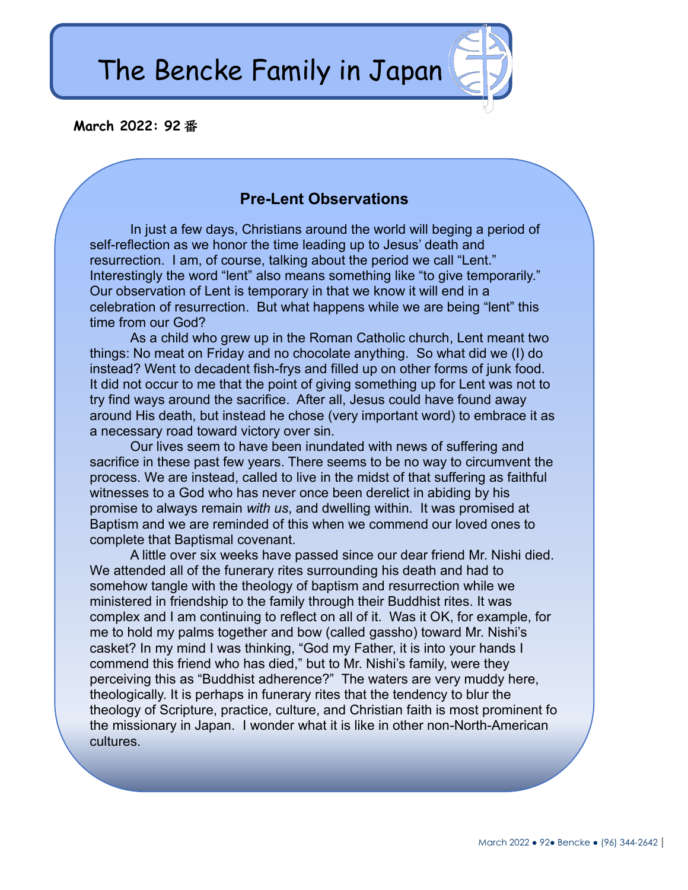The Bencke Family in Japan

## **March 2022: 92** 番

# **Pre-Lent Observations**

In just a few days, Christians around the world will beging a period of self-reflection as we honor the time leading up to Jesus' death and resurrection. I am, of course, talking about the period we call "Lent." Interestingly the word "lent" also means something like "to give temporarily." Our observation of Lent is temporary in that we know it will end in a celebration of resurrection. But what happens while we are being "lent" this time from our God?

As a child who grew up in the Roman Catholic church, Lent meant two things: No meat on Friday and no chocolate anything. So what did we (I) do instead? Went to decadent fish-frys and filled up on other forms of junk food. It did not occur to me that the point of giving something up for Lent was not to try find ways around the sacrifice. After all, Jesus could have found away around His death, but instead he chose (very important word) to embrace it as a necessary road toward victory over sin.

Our lives seem to have been inundated with news of suffering and sacrifice in these past few years. There seems to be no way to circumvent the process. We are instead, called to live in the midst of that suffering as faithful witnesses to a God who has never once been derelict in abiding by his promise to always remain *with us*, and dwelling within. It was promised at Baptism and we are reminded of this when we commend our loved ones to complete that Baptismal covenant.

A little over six weeks have passed since our dear friend Mr. Nishi died. We attended all of the funerary rites surrounding his death and had to somehow tangle with the theology of baptism and resurrection while we ministered in friendship to the family through their Buddhist rites. It was complex and I am continuing to reflect on all of it. Was it OK, for example, for me to hold my palms together and bow (called gassho) toward Mr. Nishi's casket? In my mind I was thinking, "God my Father, it is into your hands I commend this friend who has died," but to Mr. Nishi's family, were they perceiving this as "Buddhist adherence?" The waters are very muddy here, theologically. It is perhaps in funerary rites that the tendency to blur the theology of Scripture, practice, culture, and Christian faith is most prominent fo the missionary in Japan. I wonder what it is like in other non-North-American cultures.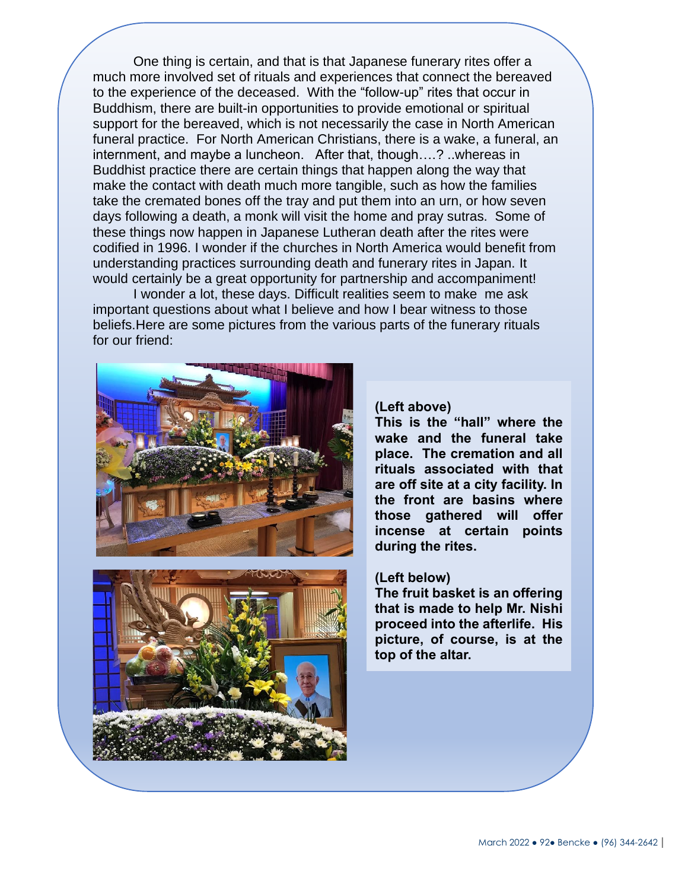support for the bereaved, which is not necessarily the case in North American One thing is certain, and that is that Japanese funerary rites offer a much more involved set of rituals and experiences that connect the bereaved to the experience of the deceased. With the "follow-up" rites that occur in Buddhism, there are built-in opportunities to provide emotional or spiritual funeral practice. For North American Christians, there is a wake, a funeral, an internment, and maybe a luncheon. After that, though….? ..whereas in Buddhist practice there are certain things that happen along the way that make the contact with death much more tangible, such as how the families take the cremated bones off the tray and put them into an urn, or how seven days following a death, a monk will visit the home and pray sutras. Some of these things now happen in Japanese Lutheran death after the rites were codified in 1996. I wonder if the churches in North America would benefit from understanding practices surrounding death and funerary rites in Japan. It would certainly be a great opportunity for partnership and accompaniment!

I wonder a lot, these days. Difficult realities seem to make me ask important questions about what I believe and how I bear witness to those beliefs.Here are some pictures from the various parts of the funerary rituals for our friend:





### **(Left above)**

**This is the "hall" where the wake and the funeral take place. The cremation and all rituals associated with that are off site at a city facility. In the front are basins where those gathered will offer incense at certain points during the rites.**

#### **(Left below)**

**The fruit basket is an offering that is made to help Mr. Nishi proceed into the afterlife. His picture, of course, is at the top of the altar.**